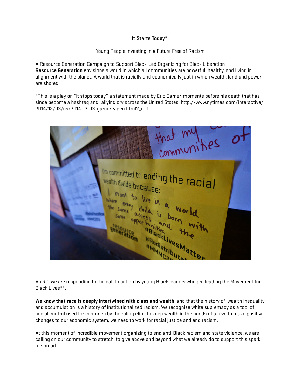## **It Starts Today\*!**

Young People Investing in a Future Free of Racism

A Resource Generation Campaign to Support Black-Led Organizing for Black Liberation **Resource Generation** envisions a world in which all communities are powerful, healthy, and living in alignment with the planet. A world that is racially and economically just in which wealth, land and power are shared.

\*This is a play on "It stops today," a statement made by Eric Garner, moments before his death that has since become a hashtag and rallying cry across the United States. http://www.nytimes.com/interactive/ 2014/12/03/us/2014-12-03-garner-video.html?\_r=0

| that my ties                                                                                                                           |  |
|----------------------------------------------------------------------------------------------------------------------------------------|--|
| I'm committed to ending the racial<br>wealth divide because:                                                                           |  |
| I want to live in a world<br>where every child is born with<br>the same access and the<br>Same opportunities Matte<br><b>Persource</b> |  |
|                                                                                                                                        |  |

As RG, we are responding to the call to action by young Black leaders who are leading the Movement for Black Lives\*\*.

**We know that race is deeply intertwined with class and wealth**, and that the history of wealth inequality and accumulation is a history of institutionalized racism. We recognize white supremacy as a tool of social control used for centuries by the ruling elite, to keep wealth in the hands of a few. To make positive changes to our economic system, we need to work for racial justice and end racism.

At this moment of incredible movement organizing to end anti-Black racism and state violence, we are calling on our community to stretch, to give above and beyond what we already do to support this spark to spread.